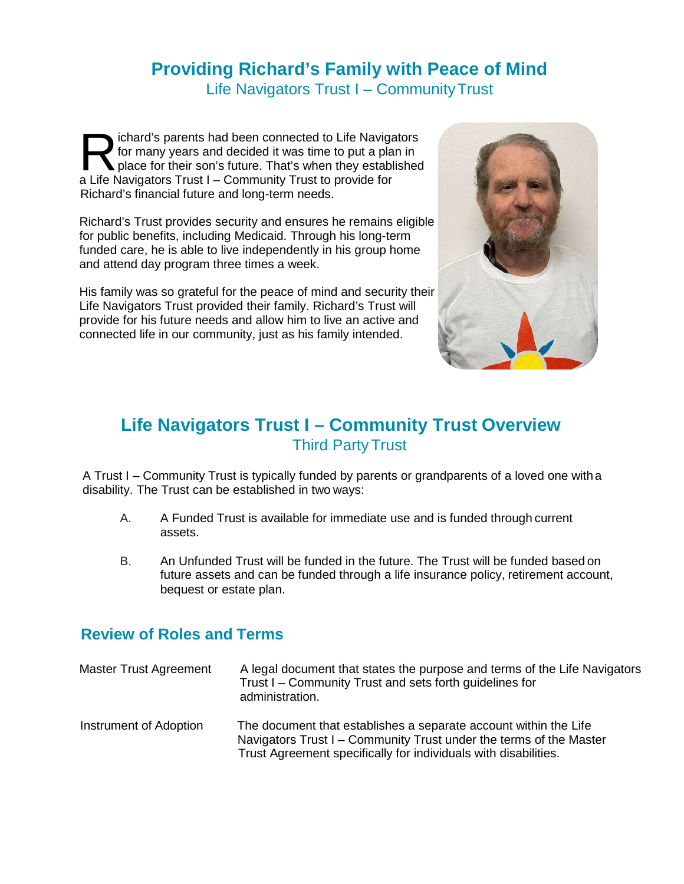# **Providing Richard's Family with Peace of Mind** Life Navigators Trust I – CommunityTrust

chard's parents had been connected to Life Navigators for many years and decided it was time to put a plan in place for their son's future. That's when they established chard's parents had been connected to Life Navigator many years and decided it was time to put a plane place for their son's future. That's when they estable a Life Navigators Trust I – Community Trust to provide for Richard's financial future and long-term needs.

Richard's Trust provides security and ensures he remains eligible for public benefits, including Medicaid. Through his long-term funded care, he is able to live independently in his group home and attend day program three times a week.

His family was so grateful for the peace of mind and security their Life Navigators Trust provided their family. Richard's Trust will provide for his future needs and allow him to live an active and connected life in our community, just as his family intended.



# **Life Navigators Trust I – Community Trust Overview** Third PartyTrust

A Trust I – Community Trust is typically funded by parents or grandparents of a loved one witha disability. The Trust can be established in two ways:

- A. A Funded Trust is available for immediate use and is funded through current assets.
- B. An Unfunded Trust will be funded in the future. The Trust will be funded based on future assets and can be funded through a life insurance policy, retirement account, bequest or estate plan.

# **Review of Roles and Terms**

| Master Trust Agreement | A legal document that states the purpose and terms of the Life Navigators<br>Trust I - Community Trust and sets forth guidelines for<br>administration.                                                   |
|------------------------|-----------------------------------------------------------------------------------------------------------------------------------------------------------------------------------------------------------|
| Instrument of Adoption | The document that establishes a separate account within the Life<br>Navigators Trust I – Community Trust under the terms of the Master<br>Trust Agreement specifically for individuals with disabilities. |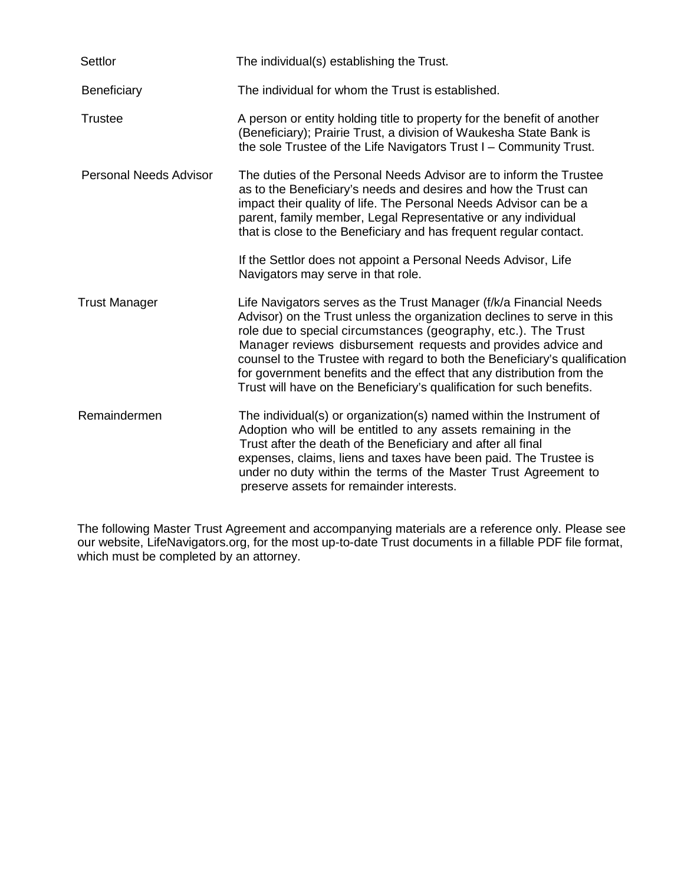| Settlor                       | The individual(s) establishing the Trust.                                                                                                                                                                                                                                                                                                                                                                                                                                                                        |
|-------------------------------|------------------------------------------------------------------------------------------------------------------------------------------------------------------------------------------------------------------------------------------------------------------------------------------------------------------------------------------------------------------------------------------------------------------------------------------------------------------------------------------------------------------|
| Beneficiary                   | The individual for whom the Trust is established.                                                                                                                                                                                                                                                                                                                                                                                                                                                                |
| <b>Trustee</b>                | A person or entity holding title to property for the benefit of another<br>(Beneficiary); Prairie Trust, a division of Waukesha State Bank is<br>the sole Trustee of the Life Navigators Trust I - Community Trust.                                                                                                                                                                                                                                                                                              |
| <b>Personal Needs Advisor</b> | The duties of the Personal Needs Advisor are to inform the Trustee<br>as to the Beneficiary's needs and desires and how the Trust can<br>impact their quality of life. The Personal Needs Advisor can be a<br>parent, family member, Legal Representative or any individual<br>that is close to the Beneficiary and has frequent regular contact.                                                                                                                                                                |
|                               | If the Settlor does not appoint a Personal Needs Advisor, Life<br>Navigators may serve in that role.                                                                                                                                                                                                                                                                                                                                                                                                             |
| <b>Trust Manager</b>          | Life Navigators serves as the Trust Manager (f/k/a Financial Needs<br>Advisor) on the Trust unless the organization declines to serve in this<br>role due to special circumstances (geography, etc.). The Trust<br>Manager reviews disbursement requests and provides advice and<br>counsel to the Trustee with regard to both the Beneficiary's qualification<br>for government benefits and the effect that any distribution from the<br>Trust will have on the Beneficiary's qualification for such benefits. |
| Remaindermen                  | The individual(s) or organization(s) named within the Instrument of<br>Adoption who will be entitled to any assets remaining in the<br>Trust after the death of the Beneficiary and after all final<br>expenses, claims, liens and taxes have been paid. The Trustee is<br>under no duty within the terms of the Master Trust Agreement to<br>preserve assets for remainder interests.                                                                                                                           |

 The following Master Trust Agreement and accompanying materials are a reference only. Please see our website, LifeNavigators.org, for the most up-to-date Trust documents in a fillable PDF file format, which must be completed by an attorney.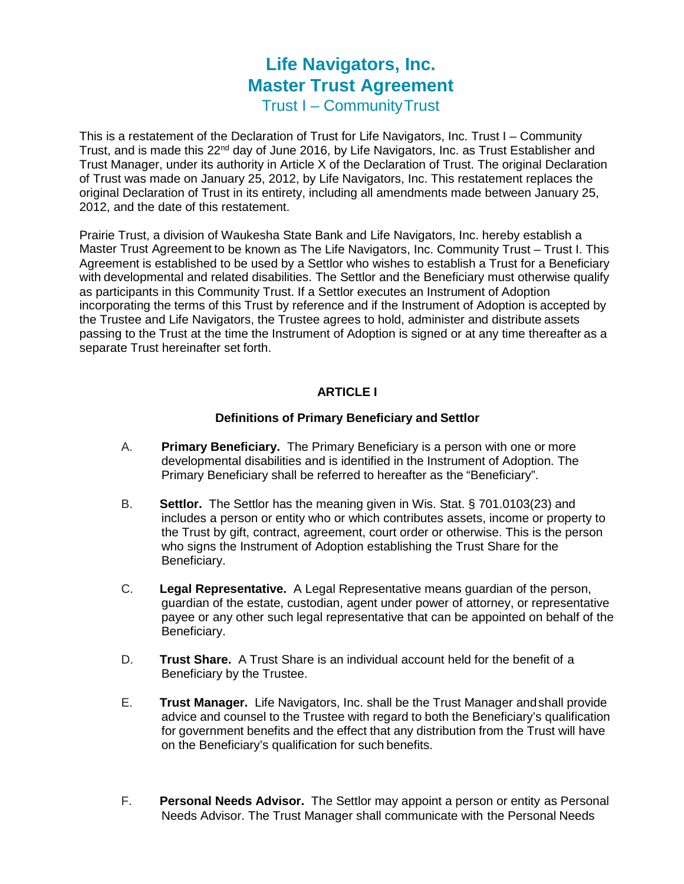# **Life Navigators, Inc. Master Trust Agreement**

Trust I – CommunityTrust

This is a restatement of the Declaration of Trust for Life Navigators, Inc. Trust I – Community Trust, and is made this 22<sup>nd</sup> day of June 2016, by Life Navigators, Inc. as Trust Establisher and Trust Manager, under its authority in Article X of the Declaration of Trust. The original Declaration of Trust was made on January 25, 2012, by Life Navigators, Inc. This restatement replaces the original Declaration of Trust in its entirety, including all amendments made between January 25, 2012, and the date of this restatement.

Prairie Trust, a division of Waukesha State Bank and Life Navigators, Inc. hereby establish a Master Trust Agreement to be known as The Life Navigators, Inc. Community Trust – Trust I. This Agreement is established to be used by a Settlor who wishes to establish a Trust for a Beneficiary with developmental and related disabilities. The Settlor and the Beneficiary must otherwise qualify as participants in this Community Trust. If a Settlor executes an Instrument of Adoption incorporating the terms of this Trust by reference and if the Instrument of Adoption is accepted by the Trustee and Life Navigators, the Trustee agrees to hold, administer and distribute assets passing to the Trust at the time the Instrument of Adoption is signed or at any time thereafter as a separate Trust hereinafter set forth.

# **ARTICLE I**

#### **Definitions of Primary Beneficiary and Settlor**

- A. **Primary Beneficiary.** The Primary Beneficiary is a person with one or more developmental disabilities and is identified in the Instrument of Adoption. The Primary Beneficiary shall be referred to hereafter as the "Beneficiary".
- B. **Settlor.** The Settlor has the meaning given in Wis. Stat. § 701.0103(23) and includes a person or entity who or which contributes assets, income or property to the Trust by gift, contract, agreement, court order or otherwise. This is the person who signs the Instrument of Adoption establishing the Trust Share for the Beneficiary.
- C. **Legal Representative.** A Legal Representative means guardian of the person, guardian of the estate, custodian, agent under power of attorney, or representative payee or any other such legal representative that can be appointed on behalf of the Beneficiary.
- D. **Trust Share.** A Trust Share is an individual account held for the benefit of a Beneficiary by the Trustee.
- E. **Trust Manager.** Life Navigators, Inc. shall be the Trust Manager andshall provide advice and counsel to the Trustee with regard to both the Beneficiary's qualification for government benefits and the effect that any distribution from the Trust will have on the Beneficiary's qualification for such benefits.
- F. **Personal Needs Advisor.** The Settlor may appoint a person or entity as Personal Needs Advisor. The Trust Manager shall communicate with the Personal Needs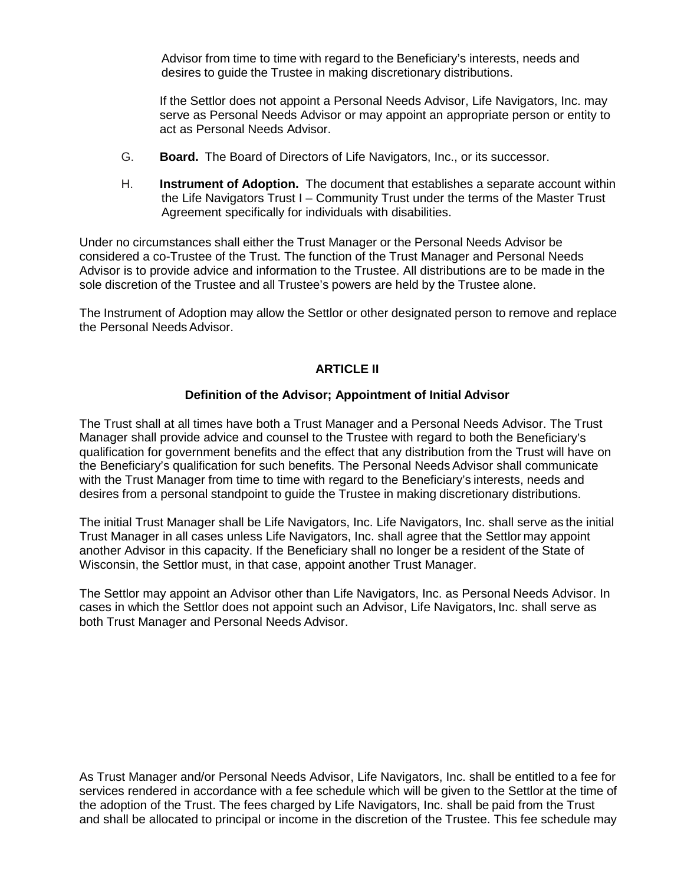Advisor from time to time with regard to the Beneficiary's interests, needs and desires to guide the Trustee in making discretionary distributions.

If the Settlor does not appoint a Personal Needs Advisor, Life Navigators, Inc. may serve as Personal Needs Advisor or may appoint an appropriate person or entity to act as Personal Needs Advisor.

- G. **Board.** The Board of Directors of Life Navigators, Inc., or its successor.
- H. **Instrument of Adoption.** The document that establishes a separate account within the Life Navigators Trust I – Community Trust under the terms of the Master Trust Agreement specifically for individuals with disabilities.

Under no circumstances shall either the Trust Manager or the Personal Needs Advisor be considered a co-Trustee of the Trust. The function of the Trust Manager and Personal Needs Advisor is to provide advice and information to the Trustee. All distributions are to be made in the sole discretion of the Trustee and all Trustee's powers are held by the Trustee alone.

The Instrument of Adoption may allow the Settlor or other designated person to remove and replace the Personal NeedsAdvisor.

#### **ARTICLE II**

#### **Definition of the Advisor; Appointment of Initial Advisor**

The Trust shall at all times have both a Trust Manager and a Personal Needs Advisor. The Trust Manager shall provide advice and counsel to the Trustee with regard to both the Beneficiary's qualification for government benefits and the effect that any distribution from the Trust will have on the Beneficiary's qualification for such benefits. The Personal Needs Advisor shall communicate with the Trust Manager from time to time with regard to the Beneficiary's interests, needs and desires from a personal standpoint to guide the Trustee in making discretionary distributions.

The initial Trust Manager shall be Life Navigators, Inc. Life Navigators, Inc. shall serve as the initial Trust Manager in all cases unless Life Navigators, Inc. shall agree that the Settlor may appoint another Advisor in this capacity. If the Beneficiary shall no longer be a resident of the State of Wisconsin, the Settlor must, in that case, appoint another Trust Manager.

The Settlor may appoint an Advisor other than Life Navigators, Inc. as Personal Needs Advisor. In cases in which the Settlor does not appoint such an Advisor, Life Navigators, Inc. shall serve as both Trust Manager and Personal Needs Advisor.

As Trust Manager and/or Personal Needs Advisor, Life Navigators, Inc. shall be entitled to a fee for services rendered in accordance with a fee schedule which will be given to the Settlor at the time of the adoption of the Trust. The fees charged by Life Navigators, Inc. shall be paid from the Trust and shall be allocated to principal or income in the discretion of the Trustee. This fee schedule may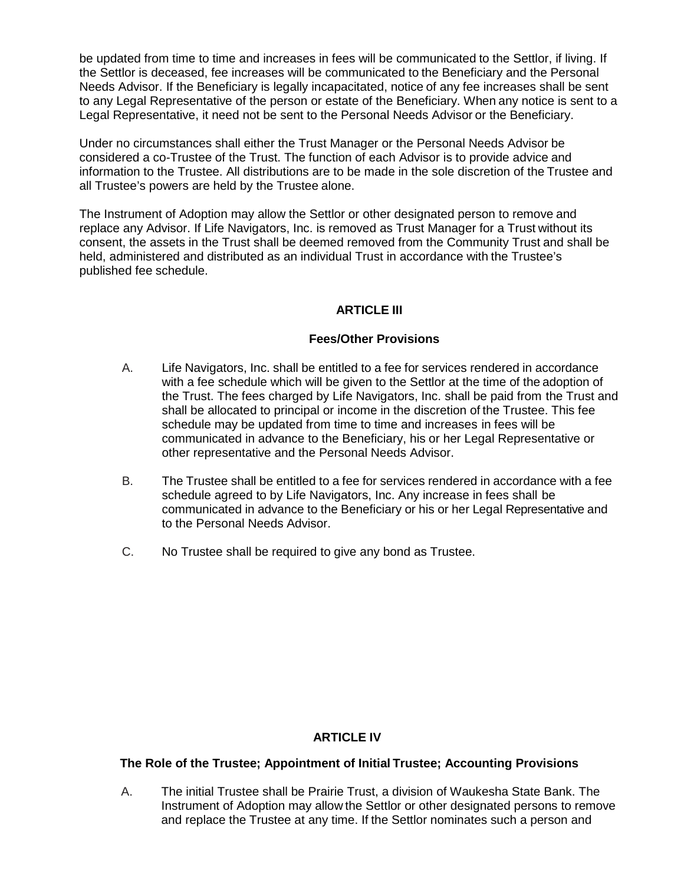be updated from time to time and increases in fees will be communicated to the Settlor, if living. If the Settlor is deceased, fee increases will be communicated to the Beneficiary and the Personal Needs Advisor. If the Beneficiary is legally incapacitated, notice of any fee increases shall be sent to any Legal Representative of the person or estate of the Beneficiary. When any notice is sent to a Legal Representative, it need not be sent to the Personal Needs Advisor or the Beneficiary.

Under no circumstances shall either the Trust Manager or the Personal Needs Advisor be considered a co-Trustee of the Trust. The function of each Advisor is to provide advice and information to the Trustee. All distributions are to be made in the sole discretion of the Trustee and all Trustee's powers are held by the Trustee alone.

The Instrument of Adoption may allow the Settlor or other designated person to remove and replace any Advisor. If Life Navigators, Inc. is removed as Trust Manager for a Trust without its consent, the assets in the Trust shall be deemed removed from the Community Trust and shall be held, administered and distributed as an individual Trust in accordance with the Trustee's published fee schedule.

# **ARTICLE III**

#### **Fees/Other Provisions**

- A. Life Navigators, Inc. shall be entitled to a fee for services rendered in accordance with a fee schedule which will be given to the Settlor at the time of the adoption of the Trust. The fees charged by Life Navigators, Inc. shall be paid from the Trust and shall be allocated to principal or income in the discretion of the Trustee. This fee schedule may be updated from time to time and increases in fees will be communicated in advance to the Beneficiary, his or her Legal Representative or other representative and the Personal Needs Advisor.
- B. The Trustee shall be entitled to a fee for services rendered in accordance with a fee schedule agreed to by Life Navigators, Inc. Any increase in fees shall be communicated in advance to the Beneficiary or his or her Legal Representative and to the Personal Needs Advisor.
- C. No Trustee shall be required to give any bond as Trustee.

# **ARTICLE IV**

#### **The Role of the Trustee; Appointment of Initial Trustee; Accounting Provisions**

A. The initial Trustee shall be Prairie Trust, a division of Waukesha State Bank. The Instrument of Adoption may allow the Settlor or other designated persons to remove and replace the Trustee at any time. If the Settlor nominates such a person and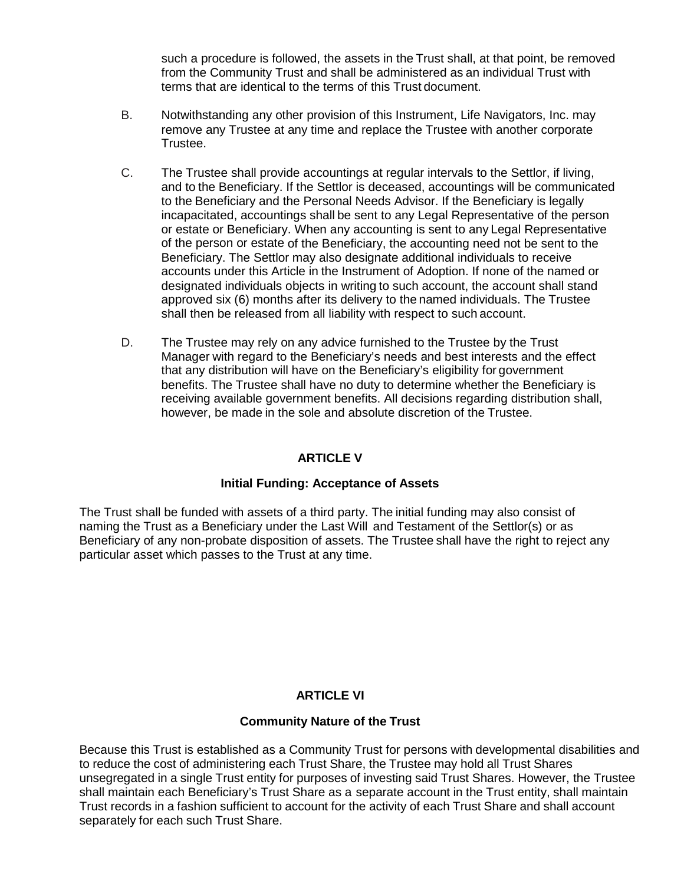such a procedure is followed, the assets in the Trust shall, at that point, be removed from the Community Trust and shall be administered as an individual Trust with terms that are identical to the terms of this Trust document.

- B. Notwithstanding any other provision of this Instrument, Life Navigators, Inc. may remove any Trustee at any time and replace the Trustee with another corporate Trustee.
- C. The Trustee shall provide accountings at regular intervals to the Settlor, if living, and to the Beneficiary. If the Settlor is deceased, accountings will be communicated to the Beneficiary and the Personal Needs Advisor. If the Beneficiary is legally incapacitated, accountings shall be sent to any Legal Representative of the person or estate or Beneficiary. When any accounting is sent to any Legal Representative of the person or estate of the Beneficiary, the accounting need not be sent to the Beneficiary. The Settlor may also designate additional individuals to receive accounts under this Article in the Instrument of Adoption. If none of the named or designated individuals objects in writing to such account, the account shall stand approved six (6) months after its delivery to the named individuals. The Trustee shall then be released from all liability with respect to such account.
- D. The Trustee may rely on any advice furnished to the Trustee by the Trust Manager with regard to the Beneficiary's needs and best interests and the effect that any distribution will have on the Beneficiary's eligibility for government benefits. The Trustee shall have no duty to determine whether the Beneficiary is receiving available government benefits. All decisions regarding distribution shall, however, be made in the sole and absolute discretion of the Trustee.

# **ARTICLE V**

#### **Initial Funding: Acceptance of Assets**

The Trust shall be funded with assets of a third party. The initial funding may also consist of naming the Trust as a Beneficiary under the Last Will and Testament of the Settlor(s) or as Beneficiary of any non-probate disposition of assets. The Trustee shall have the right to reject any particular asset which passes to the Trust at any time.

# **ARTICLE VI**

#### **Community Nature of the Trust**

Because this Trust is established as a Community Trust for persons with developmental disabilities and to reduce the cost of administering each Trust Share, the Trustee may hold all Trust Shares unsegregated in a single Trust entity for purposes of investing said Trust Shares. However, the Trustee shall maintain each Beneficiary's Trust Share as a separate account in the Trust entity, shall maintain Trust records in a fashion sufficient to account for the activity of each Trust Share and shall account separately for each such Trust Share.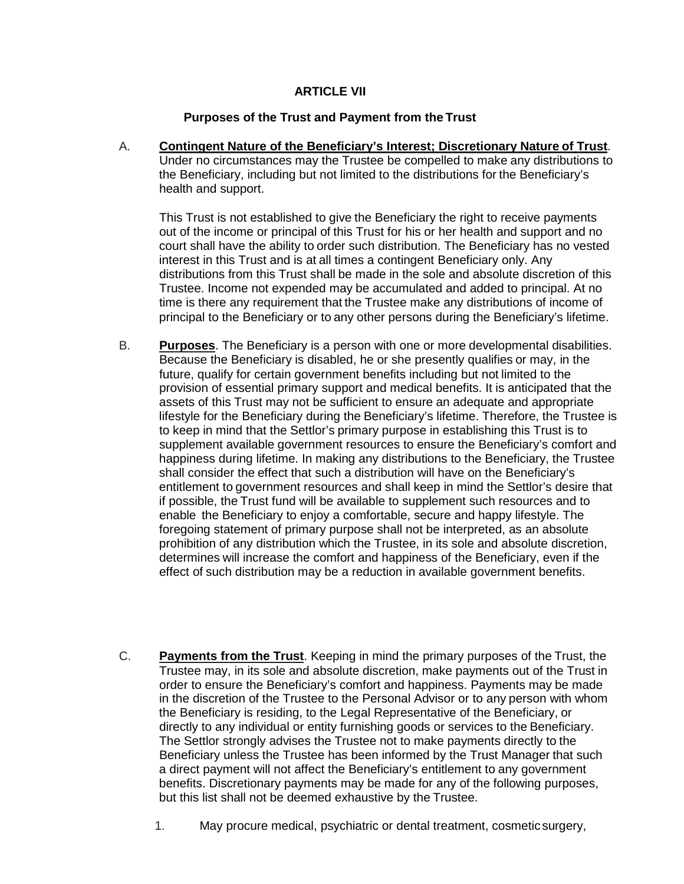#### **ARTICLE VII**

#### **Purposes of the Trust and Payment from the Trust**

A. **Contingent Nature of the Beneficiary's Interest; Discretionary Nature of Trust**. Under no circumstances may the Trustee be compelled to make any distributions to the Beneficiary, including but not limited to the distributions for the Beneficiary's health and support.

This Trust is not established to give the Beneficiary the right to receive payments out of the income or principal of this Trust for his or her health and support and no court shall have the ability to order such distribution. The Beneficiary has no vested interest in this Trust and is at all times a contingent Beneficiary only. Any distributions from this Trust shall be made in the sole and absolute discretion of this Trustee. Income not expended may be accumulated and added to principal. At no time is there any requirement that the Trustee make any distributions of income of principal to the Beneficiary or to any other persons during the Beneficiary's lifetime.

- B. **Purposes**. The Beneficiary is a person with one or more developmental disabilities. Because the Beneficiary is disabled, he or she presently qualifies or may, in the future, qualify for certain government benefits including but not limited to the provision of essential primary support and medical benefits. It is anticipated that the assets of this Trust may not be sufficient to ensure an adequate and appropriate lifestyle for the Beneficiary during the Beneficiary's lifetime. Therefore, the Trustee is to keep in mind that the Settlor's primary purpose in establishing this Trust is to supplement available government resources to ensure the Beneficiary's comfort and happiness during lifetime. In making any distributions to the Beneficiary, the Trustee shall consider the effect that such a distribution will have on the Beneficiary's entitlement to government resources and shall keep in mind the Settlor's desire that if possible, the Trust fund will be available to supplement such resources and to enable the Beneficiary to enjoy a comfortable, secure and happy lifestyle. The foregoing statement of primary purpose shall not be interpreted, as an absolute prohibition of any distribution which the Trustee, in its sole and absolute discretion, determines will increase the comfort and happiness of the Beneficiary, even if the effect of such distribution may be a reduction in available government benefits.
- C. **Payments from the Trust**. Keeping in mind the primary purposes of the Trust, the Trustee may, in its sole and absolute discretion, make payments out of the Trust in order to ensure the Beneficiary's comfort and happiness. Payments may be made in the discretion of the Trustee to the Personal Advisor or to any person with whom the Beneficiary is residing, to the Legal Representative of the Beneficiary, or directly to any individual or entity furnishing goods or services to the Beneficiary. The Settlor strongly advises the Trustee not to make payments directly to the Beneficiary unless the Trustee has been informed by the Trust Manager that such a direct payment will not affect the Beneficiary's entitlement to any government benefits. Discretionary payments may be made for any of the following purposes, but this list shall not be deemed exhaustive by the Trustee.
	- 1. May procure medical, psychiatric or dental treatment, cosmetic surgery,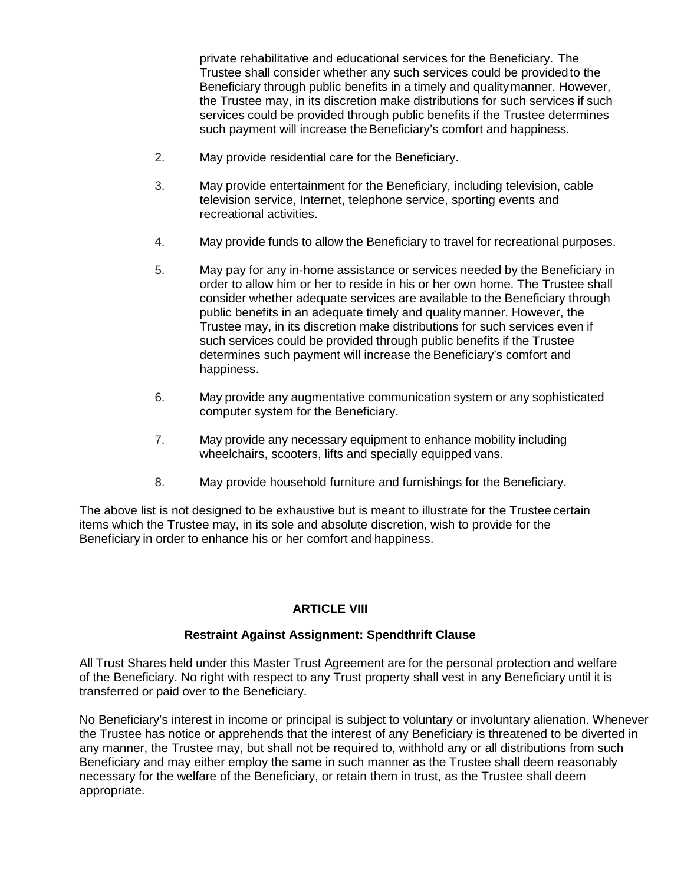private rehabilitative and educational services for the Beneficiary. The Trustee shall consider whether any such services could be providedto the Beneficiary through public benefits in a timely and qualitymanner. However, the Trustee may, in its discretion make distributions for such services if such services could be provided through public benefits if the Trustee determines such payment will increase the Beneficiary's comfort and happiness.

- 2. May provide residential care for the Beneficiary.
- 3. May provide entertainment for the Beneficiary, including television, cable television service, Internet, telephone service, sporting events and recreational activities.
- 4. May provide funds to allow the Beneficiary to travel for recreational purposes.
- 5. May pay for any in-home assistance or services needed by the Beneficiary in order to allow him or her to reside in his or her own home. The Trustee shall consider whether adequate services are available to the Beneficiary through public benefits in an adequate timely and quality manner. However, the Trustee may, in its discretion make distributions for such services even if such services could be provided through public benefits if the Trustee determines such payment will increase the Beneficiary's comfort and happiness.
- 6. May provide any augmentative communication system or any sophisticated computer system for the Beneficiary.
- 7. May provide any necessary equipment to enhance mobility including wheelchairs, scooters, lifts and specially equipped vans.
- 8. May provide household furniture and furnishings for the Beneficiary.

The above list is not designed to be exhaustive but is meant to illustrate for the Trustee certain items which the Trustee may, in its sole and absolute discretion, wish to provide for the Beneficiary in order to enhance his or her comfort and happiness.

#### **ARTICLE VIII**

#### **Restraint Against Assignment: Spendthrift Clause**

All Trust Shares held under this Master Trust Agreement are for the personal protection and welfare of the Beneficiary. No right with respect to any Trust property shall vest in any Beneficiary until it is transferred or paid over to the Beneficiary.

No Beneficiary's interest in income or principal is subject to voluntary or involuntary alienation. Whenever the Trustee has notice or apprehends that the interest of any Beneficiary is threatened to be diverted in any manner, the Trustee may, but shall not be required to, withhold any or all distributions from such Beneficiary and may either employ the same in such manner as the Trustee shall deem reasonably necessary for the welfare of the Beneficiary, or retain them in trust, as the Trustee shall deem appropriate.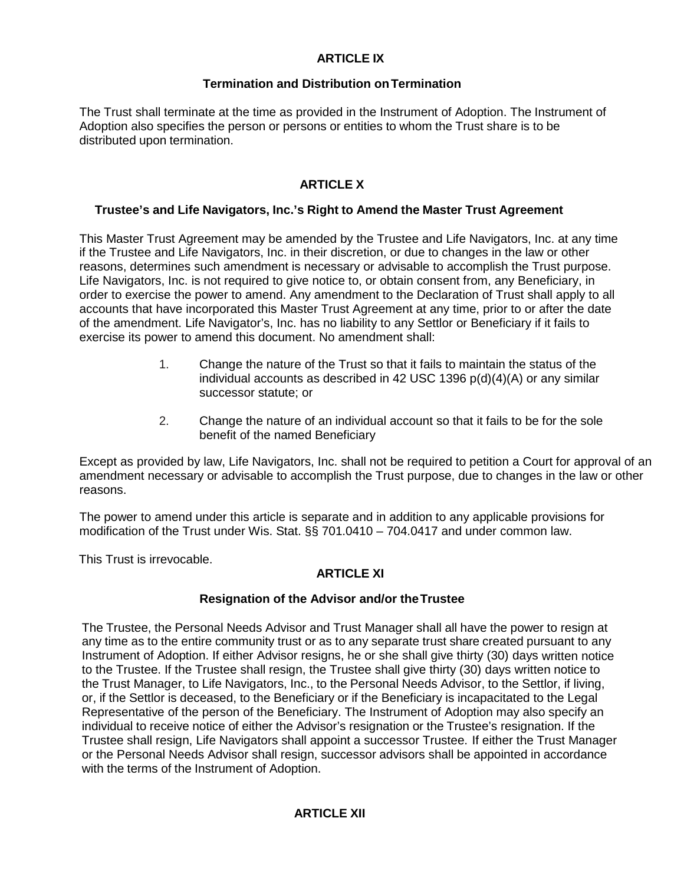### **ARTICLE IX**

#### **Termination and Distribution onTermination**

The Trust shall terminate at the time as provided in the Instrument of Adoption. The Instrument of Adoption also specifies the person or persons or entities to whom the Trust share is to be distributed upon termination.

# **ARTICLE X**

#### **Trustee's and Life Navigators, Inc.'s Right to Amend the Master Trust Agreement**

This Master Trust Agreement may be amended by the Trustee and Life Navigators, Inc. at any time if the Trustee and Life Navigators, Inc. in their discretion, or due to changes in the law or other reasons, determines such amendment is necessary or advisable to accomplish the Trust purpose. Life Navigators, Inc. is not required to give notice to, or obtain consent from, any Beneficiary, in order to exercise the power to amend. Any amendment to the Declaration of Trust shall apply to all accounts that have incorporated this Master Trust Agreement at any time, prior to or after the date of the amendment. Life Navigator's, Inc. has no liability to any Settlor or Beneficiary if it fails to exercise its power to amend this document. No amendment shall:

- 1. Change the nature of the Trust so that it fails to maintain the status of the individual accounts as described in 42 USC 1396 p(d)(4)(A) or any similar successor statute; or
- 2. Change the nature of an individual account so that it fails to be for the sole benefit of the named Beneficiary

Except as provided by law, Life Navigators, Inc. shall not be required to petition a Court for approval of an amendment necessary or advisable to accomplish the Trust purpose, due to changes in the law or other reasons.

The power to amend under this article is separate and in addition to any applicable provisions for modification of the Trust under Wis. Stat. §§ 701.0410 – 704.0417 and under common law.

This Trust is irrevocable.

# **ARTICLE XI**

#### **Resignation of the Advisor and/or theTrustee**

The Trustee, the Personal Needs Advisor and Trust Manager shall all have the power to resign at any time as to the entire community trust or as to any separate trust share created pursuant to any Instrument of Adoption. If either Advisor resigns, he or she shall give thirty (30) days written notice to the Trustee. If the Trustee shall resign, the Trustee shall give thirty (30) days written notice to the Trust Manager, to Life Navigators, Inc., to the Personal Needs Advisor, to the Settlor, if living, or, if the Settlor is deceased, to the Beneficiary or if the Beneficiary is incapacitated to the Legal Representative of the person of the Beneficiary. The Instrument of Adoption may also specify an individual to receive notice of either the Advisor's resignation or the Trustee's resignation. If the Trustee shall resign, Life Navigators shall appoint a successor Trustee. If either the Trust Manager or the Personal Needs Advisor shall resign, successor advisors shall be appointed in accordance with the terms of the Instrument of Adoption.

#### **ARTICLE XII**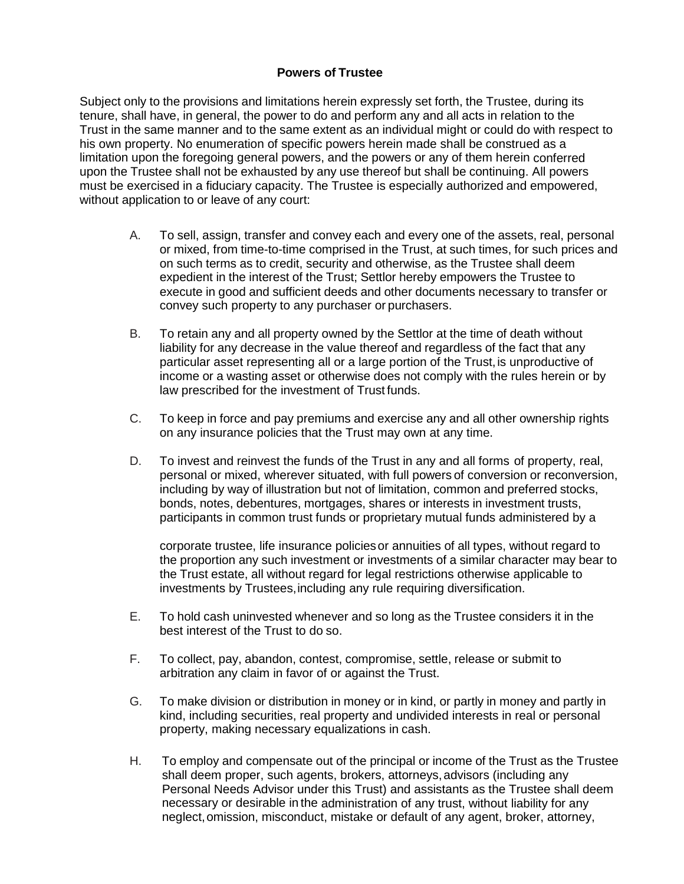#### **Powers of Trustee**

Subject only to the provisions and limitations herein expressly set forth, the Trustee, during its tenure, shall have, in general, the power to do and perform any and all acts in relation to the Trust in the same manner and to the same extent as an individual might or could do with respect to his own property. No enumeration of specific powers herein made shall be construed as a limitation upon the foregoing general powers, and the powers or any of them herein conferred upon the Trustee shall not be exhausted by any use thereof but shall be continuing. All powers must be exercised in a fiduciary capacity. The Trustee is especially authorized and empowered, without application to or leave of any court:

- A. To sell, assign, transfer and convey each and every one of the assets, real, personal or mixed, from time-to-time comprised in the Trust, at such times, for such prices and on such terms as to credit, security and otherwise, as the Trustee shall deem expedient in the interest of the Trust; Settlor hereby empowers the Trustee to execute in good and sufficient deeds and other documents necessary to transfer or convey such property to any purchaser or purchasers.
- B. To retain any and all property owned by the Settlor at the time of death without liability for any decrease in the value thereof and regardless of the fact that any particular asset representing all or a large portion of the Trust, is unproductive of income or a wasting asset or otherwise does not comply with the rules herein or by law prescribed for the investment of Trust funds.
- C. To keep in force and pay premiums and exercise any and all other ownership rights on any insurance policies that the Trust may own at any time.
- D. To invest and reinvest the funds of the Trust in any and all forms of property, real, personal or mixed, wherever situated, with full powers of conversion or reconversion, including by way of illustration but not of limitation, common and preferred stocks, bonds, notes, debentures, mortgages, shares or interests in investment trusts, participants in common trust funds or proprietary mutual funds administered by a

corporate trustee, life insurance policiesor annuities of all types, without regard to the proportion any such investment or investments of a similar character may bear to the Trust estate, all without regard for legal restrictions otherwise applicable to investments by Trustees, including any rule requiring diversification.

- E. To hold cash uninvested whenever and so long as the Trustee considers it in the best interest of the Trust to do so.
- F. To collect, pay, abandon, contest, compromise, settle, release or submit to arbitration any claim in favor of or against the Trust.
- G. To make division or distribution in money or in kind, or partly in money and partly in kind, including securities, real property and undivided interests in real or personal property, making necessary equalizations in cash.
- H. To employ and compensate out of the principal or income of the Trust as the Trustee shall deem proper, such agents, brokers, attorneys,advisors (including any Personal Needs Advisor under this Trust) and assistants as the Trustee shall deem necessary or desirable in the administration of any trust, without liability for any neglect,omission, misconduct, mistake or default of any agent, broker, attorney,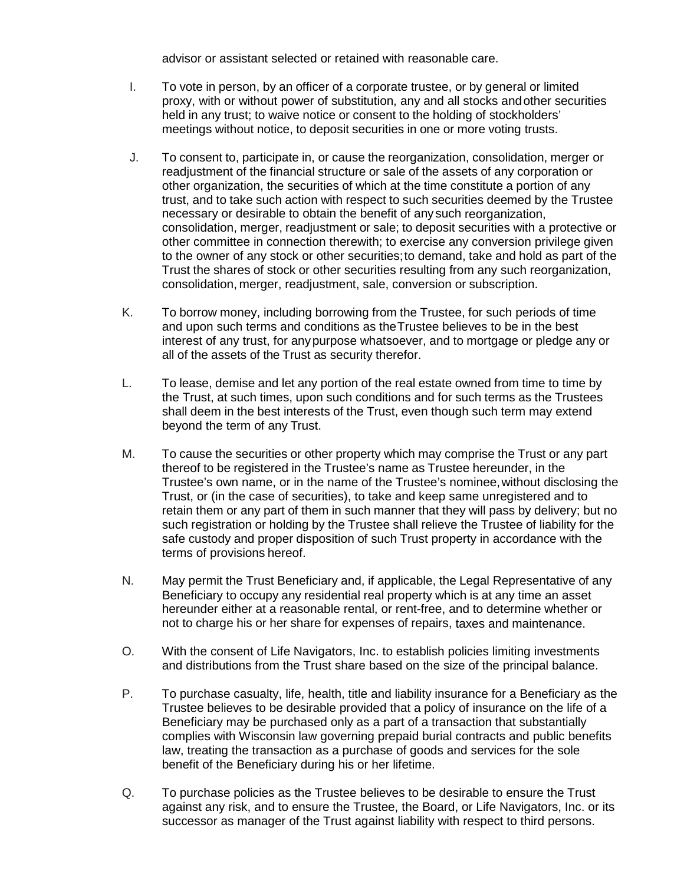advisor or assistant selected or retained with reasonable care.

- I. To vote in person, by an officer of a corporate trustee, or by general or limited proxy, with or without power of substitution, any and all stocks andother securities held in any trust; to waive notice or consent to the holding of stockholders' meetings without notice, to deposit securities in one or more voting trusts.
- J. To consent to, participate in, or cause the reorganization, consolidation, merger or readjustment of the financial structure or sale of the assets of any corporation or other organization, the securities of which at the time constitute a portion of any trust, and to take such action with respect to such securities deemed by the Trustee necessary or desirable to obtain the benefit of any such reorganization, consolidation, merger, readjustment or sale; to deposit securities with a protective or other committee in connection therewith; to exercise any conversion privilege given to the owner of any stock or other securities;to demand, take and hold as part of the Trust the shares of stock or other securities resulting from any such reorganization, consolidation, merger, readjustment, sale, conversion or subscription.
- K. To borrow money, including borrowing from the Trustee, for such periods of time and upon such terms and conditions as theTrustee believes to be in the best interest of any trust, for anypurpose whatsoever, and to mortgage or pledge any or all of the assets of the Trust as security therefor.
- L. To lease, demise and let any portion of the real estate owned from time to time by the Trust, at such times, upon such conditions and for such terms as the Trustees shall deem in the best interests of the Trust, even though such term may extend beyond the term of any Trust.
- M. To cause the securities or other property which may comprise the Trust or any part thereof to be registered in the Trustee's name as Trustee hereunder, in the Trustee's own name, or in the name of the Trustee's nominee,without disclosing the Trust, or (in the case of securities), to take and keep same unregistered and to retain them or any part of them in such manner that they will pass by delivery; but no such registration or holding by the Trustee shall relieve the Trustee of liability for the safe custody and proper disposition of such Trust property in accordance with the terms of provisions hereof.
- N. May permit the Trust Beneficiary and, if applicable, the Legal Representative of any Beneficiary to occupy any residential real property which is at any time an asset hereunder either at a reasonable rental, or rent-free, and to determine whether or not to charge his or her share for expenses of repairs, taxes and maintenance.
- O. With the consent of Life Navigators, Inc. to establish policies limiting investments and distributions from the Trust share based on the size of the principal balance.
- P. To purchase casualty, life, health, title and liability insurance for a Beneficiary as the Trustee believes to be desirable provided that a policy of insurance on the life of a Beneficiary may be purchased only as a part of a transaction that substantially complies with Wisconsin law governing prepaid burial contracts and public benefits law, treating the transaction as a purchase of goods and services for the sole benefit of the Beneficiary during his or her lifetime.
- Q. To purchase policies as the Trustee believes to be desirable to ensure the Trust against any risk, and to ensure the Trustee, the Board, or Life Navigators, Inc. or its successor as manager of the Trust against liability with respect to third persons.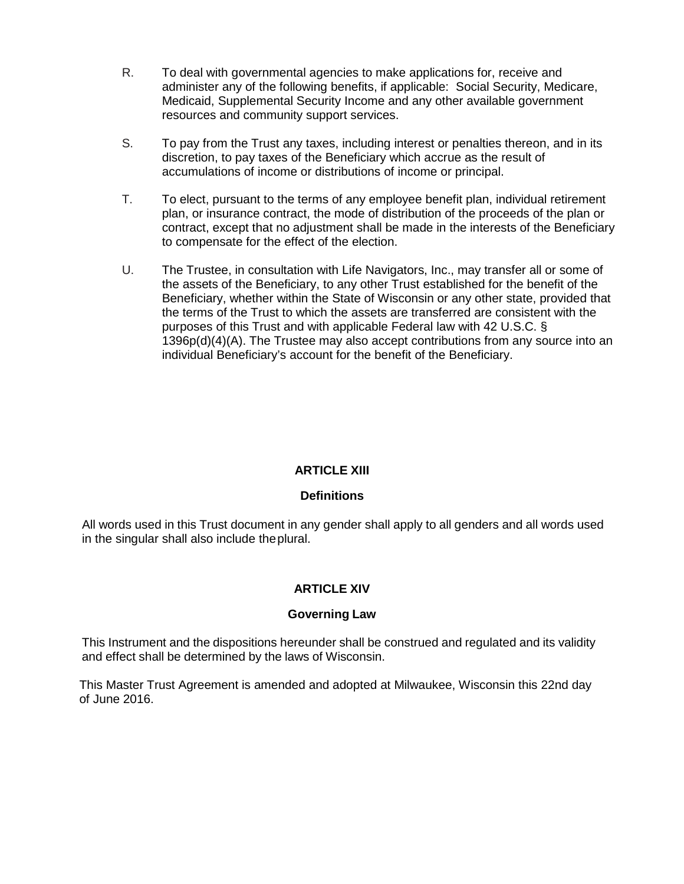- R. To deal with governmental agencies to make applications for, receive and administer any of the following benefits, if applicable: Social Security, Medicare, Medicaid, Supplemental Security Income and any other available government resources and community support services.
- S. To pay from the Trust any taxes, including interest or penalties thereon, and in its discretion, to pay taxes of the Beneficiary which accrue as the result of accumulations of income or distributions of income or principal.
- T. To elect, pursuant to the terms of any employee benefit plan, individual retirement plan, or insurance contract, the mode of distribution of the proceeds of the plan or contract, except that no adjustment shall be made in the interests of the Beneficiary to compensate for the effect of the election.
- U. The Trustee, in consultation with Life Navigators, Inc., may transfer all or some of the assets of the Beneficiary, to any other Trust established for the benefit of the Beneficiary, whether within the State of Wisconsin or any other state, provided that the terms of the Trust to which the assets are transferred are consistent with the purposes of this Trust and with applicable Federal law with 42 U.S.C. § 1396p(d)(4)(A). The Trustee may also accept contributions from any source into an individual Beneficiary's account for the benefit of the Beneficiary.

# **ARTICLE XIII**

#### **Definitions**

All words used in this Trust document in any gender shall apply to all genders and all words used in the singular shall also include theplural.

#### **ARTICLE XIV**

#### **Governing Law**

This Instrument and the dispositions hereunder shall be construed and regulated and its validity and effect shall be determined by the laws of Wisconsin.

This Master Trust Agreement is amended and adopted at Milwaukee, Wisconsin this 22nd day of June 2016.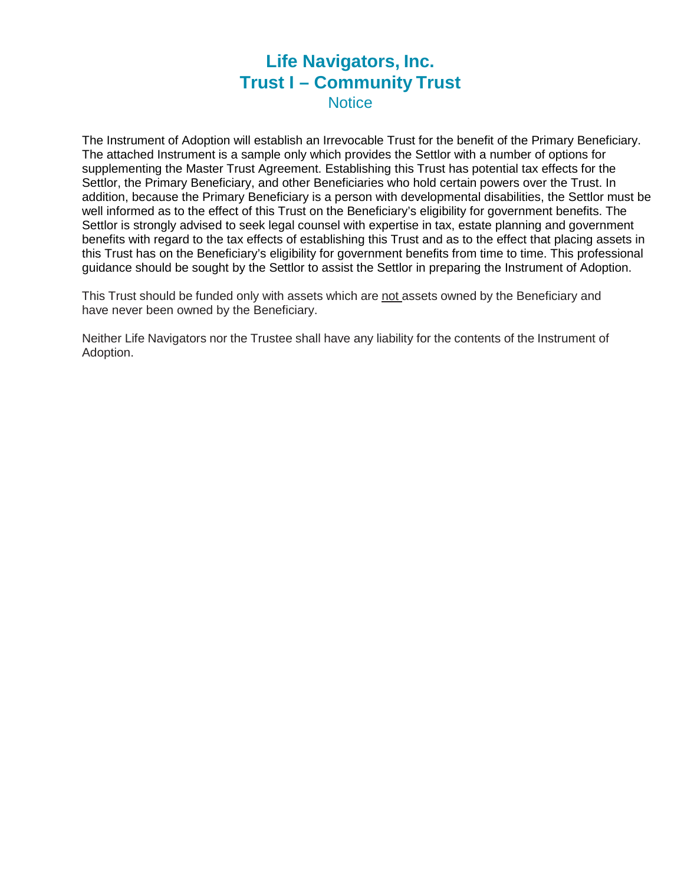# **Life Navigators, Inc. Trust I – Community Trust Notice**

The Instrument of Adoption will establish an Irrevocable Trust for the benefit of the Primary Beneficiary. The attached Instrument is a sample only which provides the Settlor with a number of options for supplementing the Master Trust Agreement. Establishing this Trust has potential tax effects for the Settlor, the Primary Beneficiary, and other Beneficiaries who hold certain powers over the Trust. In addition, because the Primary Beneficiary is a person with developmental disabilities, the Settlor must be well informed as to the effect of this Trust on the Beneficiary's eligibility for government benefits. The Settlor is strongly advised to seek legal counsel with expertise in tax, estate planning and government benefits with regard to the tax effects of establishing this Trust and as to the effect that placing assets in this Trust has on the Beneficiary's eligibility for government benefits from time to time. This professional guidance should be sought by the Settlor to assist the Settlor in preparing the Instrument of Adoption.

This Trust should be funded only with assets which are not assets owned by the Beneficiary and have never been owned by the Beneficiary.

Neither Life Navigators nor the Trustee shall have any liability for the contents of the Instrument of Adoption.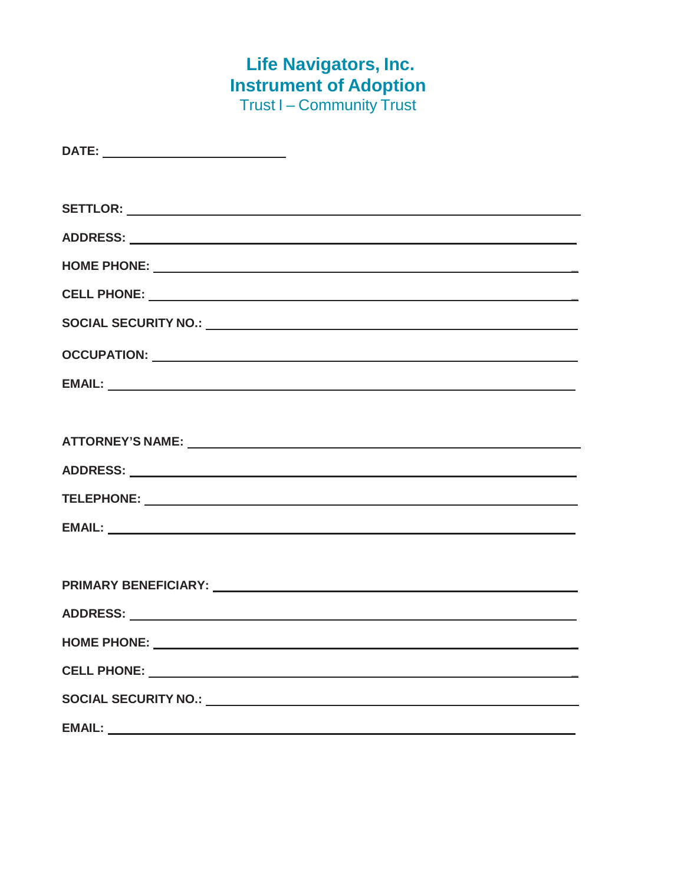# **Life Navigators, Inc. Instrument of Adoption** Trust I – Community Trust

| HOME PHONE: ________ |  |
|----------------------|--|
|                      |  |
|                      |  |
|                      |  |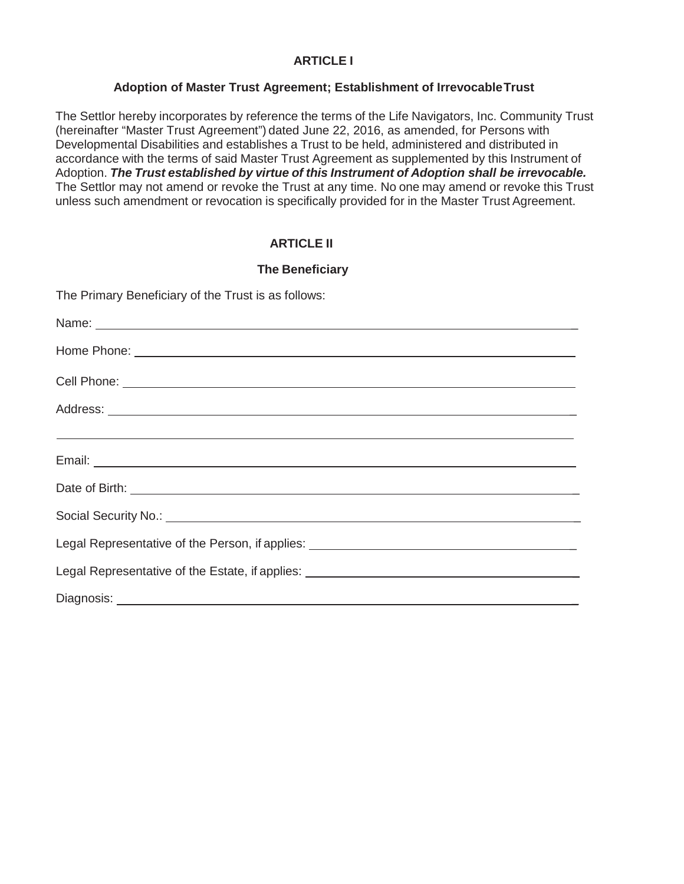#### **ARTICLE I**

#### **Adoption of Master Trust Agreement; Establishment of IrrevocableTrust**

The Settlor hereby incorporates by reference the terms of the Life Navigators, Inc. Community Trust (hereinafter "Master Trust Agreement") dated June 22, 2016, as amended, for Persons with Developmental Disabilities and establishes a Trust to be held, administered and distributed in accordance with the terms of said Master Trust Agreement as supplemented by this Instrument of Adoption. *The Trust established by virtue of this Instrument of Adoption shall be irrevocable.*  The Settlor may not amend or revoke the Trust at any time. No one may amend or revoke this Trust unless such amendment or revocation is specifically provided for in the Master Trust Agreement.

#### **ARTICLE II**

#### **The Beneficiary**

The Primary Beneficiary of the Trust is as follows:

| Legal Representative of the Person, if applies: ________________________________ |
|----------------------------------------------------------------------------------|
| Legal Representative of the Estate, if applies: ________________________________ |
|                                                                                  |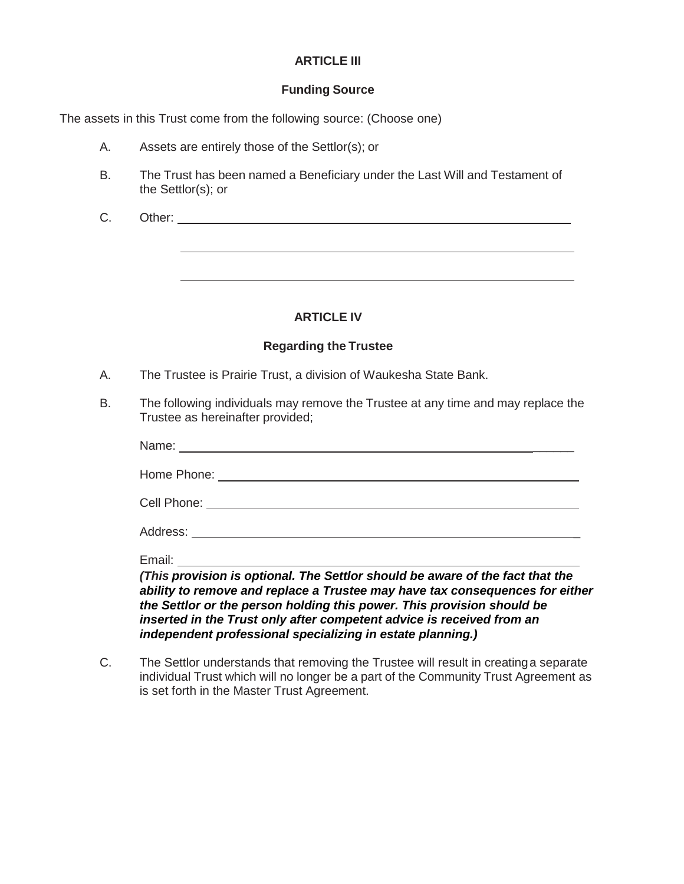#### **ARTICLE III**

#### **Funding Source**

The assets in this Trust come from the following source: (Choose one)

- A. Assets are entirely those of the Settlor(s); or
- B. The Trust has been named a Beneficiary under the Last Will and Testament of the Settlor(s); or
- C. Other:

#### **ARTICLE IV**

#### **Regarding the Trustee**

- A. The Trustee is Prairie Trust, a division of Waukesha State Bank.
- B. The following individuals may remove the Trustee at any time and may replace the Trustee as hereinafter provided;

| Email: |  |
|--------|--|

*(This provision is optional. The Settlor should be aware of the fact that the ability to remove and replace a Trustee may have tax consequences for either the Settlor or the person holding this power. This provision should be inserted in the Trust only after competent advice is received from an independent professional specializing in estate planning.)*

C. The Settlor understands that removing the Trustee will result in creatinga separate individual Trust which will no longer be a part of the Community Trust Agreement as is set forth in the Master Trust Agreement.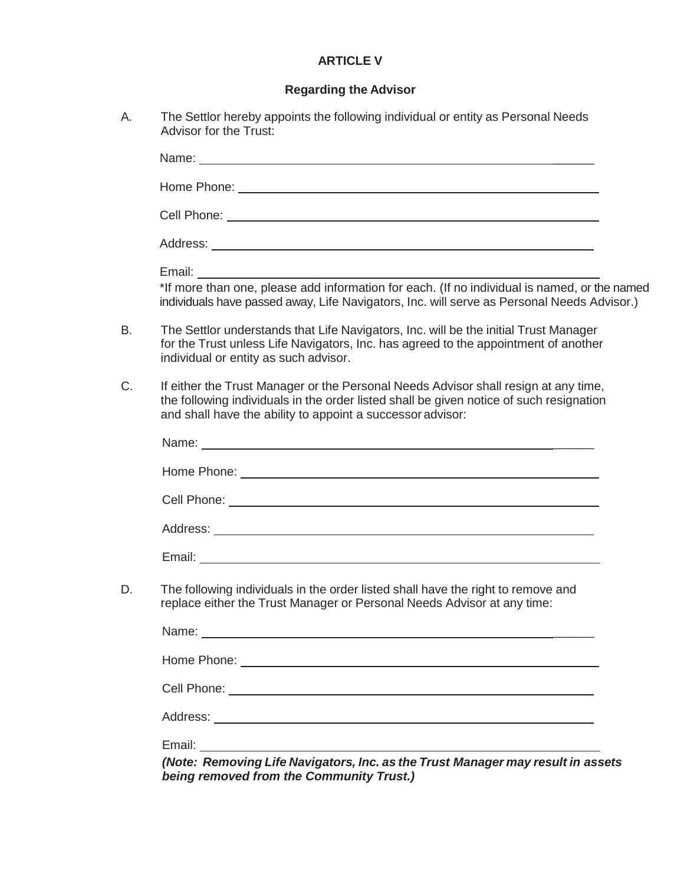# **ARTICLE V**

# **Regarding the Advisor**

A. The Settlor hereby appoints the following individual or entity as Personal Needs Advisor for the Trust:

| Email: ______<br>*If more than one, please add information for each. (If no individual is named, or the named<br>individuals have passed away, Life Navigators, Inc. will serve as Personal Needs Advisor.)<br>The Settlor understands that Life Navigators, Inc. will be the initial Trust Manager<br>for the Trust unless Life Navigators, Inc. has agreed to the appointment of another<br>individual or entity as such advisor.<br>If either the Trust Manager or the Personal Needs Advisor shall resign at any time,<br>the following individuals in the order listed shall be given notice of such resignation<br>and shall have the ability to appoint a successor advisor:<br>The following individuals in the order listed shall have the right to remove and<br>replace either the Trust Manager or Personal Needs Advisor at any time: |  |
|----------------------------------------------------------------------------------------------------------------------------------------------------------------------------------------------------------------------------------------------------------------------------------------------------------------------------------------------------------------------------------------------------------------------------------------------------------------------------------------------------------------------------------------------------------------------------------------------------------------------------------------------------------------------------------------------------------------------------------------------------------------------------------------------------------------------------------------------------|--|
|                                                                                                                                                                                                                                                                                                                                                                                                                                                                                                                                                                                                                                                                                                                                                                                                                                                    |  |
|                                                                                                                                                                                                                                                                                                                                                                                                                                                                                                                                                                                                                                                                                                                                                                                                                                                    |  |
|                                                                                                                                                                                                                                                                                                                                                                                                                                                                                                                                                                                                                                                                                                                                                                                                                                                    |  |
|                                                                                                                                                                                                                                                                                                                                                                                                                                                                                                                                                                                                                                                                                                                                                                                                                                                    |  |
|                                                                                                                                                                                                                                                                                                                                                                                                                                                                                                                                                                                                                                                                                                                                                                                                                                                    |  |
|                                                                                                                                                                                                                                                                                                                                                                                                                                                                                                                                                                                                                                                                                                                                                                                                                                                    |  |
|                                                                                                                                                                                                                                                                                                                                                                                                                                                                                                                                                                                                                                                                                                                                                                                                                                                    |  |
|                                                                                                                                                                                                                                                                                                                                                                                                                                                                                                                                                                                                                                                                                                                                                                                                                                                    |  |
|                                                                                                                                                                                                                                                                                                                                                                                                                                                                                                                                                                                                                                                                                                                                                                                                                                                    |  |
|                                                                                                                                                                                                                                                                                                                                                                                                                                                                                                                                                                                                                                                                                                                                                                                                                                                    |  |
|                                                                                                                                                                                                                                                                                                                                                                                                                                                                                                                                                                                                                                                                                                                                                                                                                                                    |  |
|                                                                                                                                                                                                                                                                                                                                                                                                                                                                                                                                                                                                                                                                                                                                                                                                                                                    |  |
|                                                                                                                                                                                                                                                                                                                                                                                                                                                                                                                                                                                                                                                                                                                                                                                                                                                    |  |
|                                                                                                                                                                                                                                                                                                                                                                                                                                                                                                                                                                                                                                                                                                                                                                                                                                                    |  |
|                                                                                                                                                                                                                                                                                                                                                                                                                                                                                                                                                                                                                                                                                                                                                                                                                                                    |  |
|                                                                                                                                                                                                                                                                                                                                                                                                                                                                                                                                                                                                                                                                                                                                                                                                                                                    |  |

*(Note: Removing Life Navigators, Inc. as the Trust Manager may result in assets being removed from the Community Trust.)*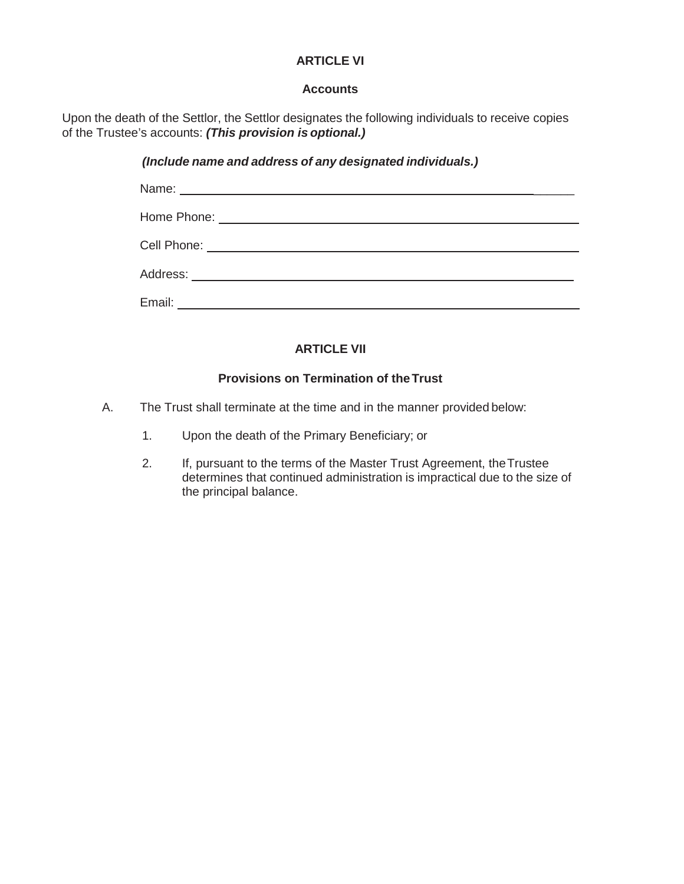#### **ARTICLE VI**

#### **Accounts**

Upon the death of the Settlor, the Settlor designates the following individuals to receive copies of the Trustee's accounts: *(This provision is optional.)*

#### *(Include name and address of any designated individuals.)*

#### **ARTICLE VII**

#### **Provisions on Termination of theTrust**

- A. The Trust shall terminate at the time and in the manner provided below:
	- 1. Upon the death of the Primary Beneficiary; or
	- 2. If, pursuant to the terms of the Master Trust Agreement, the Trustee determines that continued administration is impractical due to the size of the principal balance.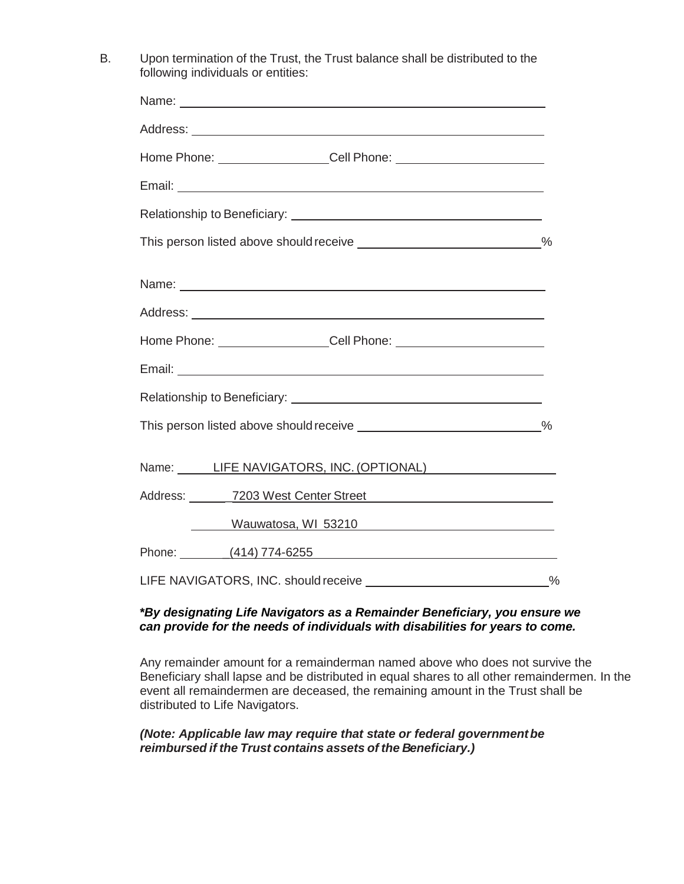B. Upon termination of the Trust, the Trust balance shall be distributed to the following individuals or entities:

| This person listed above should receive _____________________________%  |  |
|-------------------------------------------------------------------------|--|
|                                                                         |  |
|                                                                         |  |
|                                                                         |  |
|                                                                         |  |
|                                                                         |  |
| This person listed above should receive ______________________________% |  |
| Name: LIFE NAVIGATORS, INC. (OPTIONAL)                                  |  |
| Address: 7203 West Center Street 2008                                   |  |
| Mauwatosa, WI 53210                                                     |  |
| Phone: (414) 774-6255                                                   |  |
| LIFE NAVIGATORS, INC. should receive _______________________________%   |  |

#### *\*By designating Life Navigators as a Remainder Beneficiary, you ensure we can provide for the needs of individuals with disabilities for years to come.*

Any remainder amount for a remainderman named above who does not survive the Beneficiary shall lapse and be distributed in equal shares to all other remaindermen. In the event all remaindermen are deceased, the remaining amount in the Trust shall be distributed to Life Navigators.

#### *(Note: Applicable law may require that state or federal governmentbe reimbursed if the Trust contains assets of the Beneficiary.)*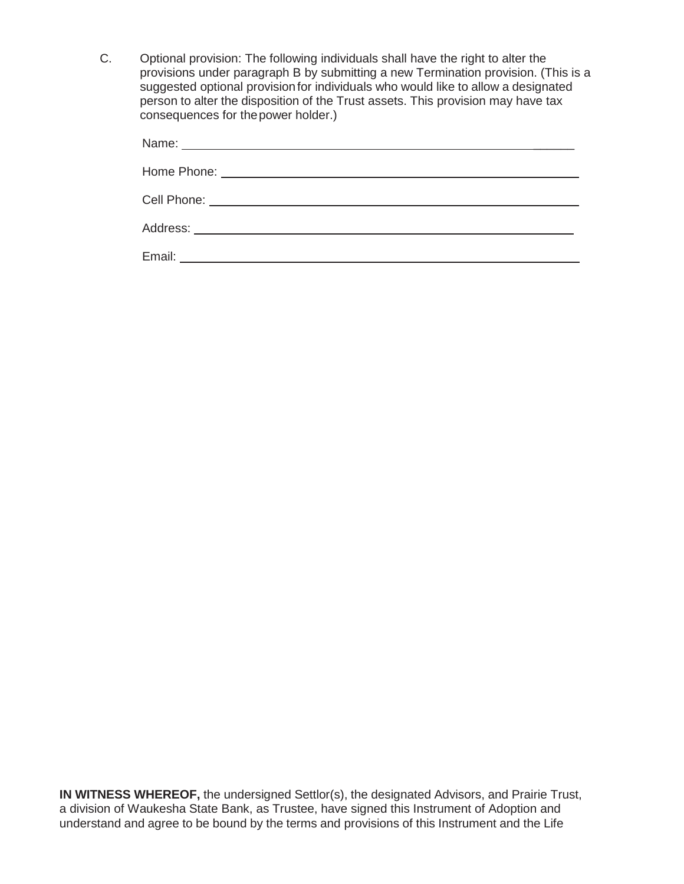C. Optional provision: The following individuals shall have the right to alter the provisions under paragraph B by submitting a new Termination provision. (This is a suggested optional provisionfor individuals who would like to allow a designated person to alter the disposition of the Trust assets. This provision may have tax consequences for thepower holder.)

| Cell Phone: ________________________________ |  |  |
|----------------------------------------------|--|--|
|                                              |  |  |
| Email:                                       |  |  |

**IN WITNESS WHEREOF,** the undersigned Settlor(s), the designated Advisors, and Prairie Trust, a division of Waukesha State Bank, as Trustee, have signed this Instrument of Adoption and understand and agree to be bound by the terms and provisions of this Instrument and the Life